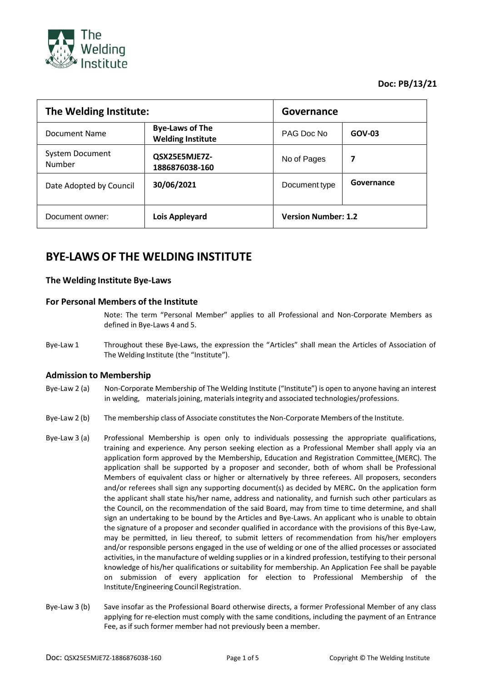

**Doc: PB/13/21**

| The Welding Institute:           |                                                    | Governance                 |            |
|----------------------------------|----------------------------------------------------|----------------------------|------------|
| Document Name                    | <b>Bye-Laws of The</b><br><b>Welding Institute</b> | PAG Doc No                 | GOV-03     |
| <b>System Document</b><br>Number | QSX25E5MJE7Z-<br>1886876038-160                    | No of Pages                | 7          |
| Date Adopted by Council          | 30/06/2021                                         | Document type              | Governance |
| Document owner:                  | Lois Appleyard                                     | <b>Version Number: 1.2</b> |            |

# **BYE-LAWS OF THE WELDING INSTITUTE**

# **The Welding Institute Bye-Laws**

# **For Personal Members of the Institute**

Note: The term "Personal Member" applies to all Professional and Non-Corporate Members as defined in Bye-Laws 4 and 5.

Bye-Law 1 Throughout these Bye-Laws, the expression the "Articles" shall mean the Articles of Association of The Welding Institute (the "Institute").

# **Admission to Membership**

- Bye-Law 2 (a) Non-Corporate Membership of The Welding Institute ("Institute") is open to anyone having an interest in welding, materials joining, materials integrity and associated technologies/professions.
- Bye-Law 2 (b) The membership class of Associate constitutes the Non-Corporate Members of the Institute.
- Bye-Law 3 (a) Professional Membership is open only to individuals possessing the appropriate qualifications, training and experience. Any person seeking election as a Professional Member shall apply via an application form approved by the Membership, Education and Registration Committee (MERC). The application shall be supported by a proposer and seconder, both of whom shall be Professional Members of equivalent class or higher or alternatively by three referees. All proposers, seconders and/or referees shall sign any supporting document(s) as decided by MERC**.** 0n the application form the applicant shall state his/her name, address and nationality, and furnish such other particulars as the Council, on the recommendation of the said Board, may from time to time determine, and shall sign an undertaking to be bound by the Articles and Bye-Laws. An applicant who is unable to obtain the signature of a proposer and seconder qualified in accordance with the provisions of this Bye-Law, may be permitted, in lieu thereof, to submit letters of recommendation from his/her employers and/or responsible persons engaged in the use of welding or one of the allied processes or associated activities, in the manufacture of welding supplies or in a kindred profession, testifying to their personal knowledge of his/her qualifications or suitability for membership. An Application Fee shall be payable on submission of every application for election to Professional Membership of the Institute/Engineering Council Registration.
- Bye-Law 3 (b) Save insofar as the Professional Board otherwise directs, a former Professional Member of any class applying for re-election must comply with the same conditions, including the payment of an Entrance Fee, as if such former member had not previously been a member.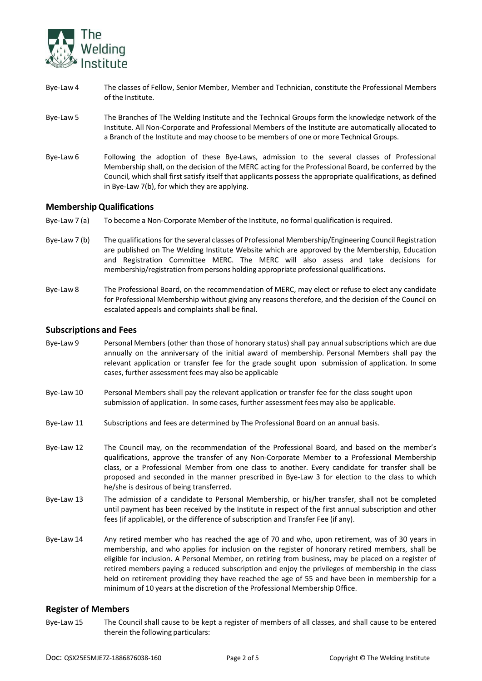

- Bye-Law 4 The classes of Fellow, Senior Member, Member and Technician, constitute the Professional Members of the Institute.
- Bye-Law 5 The Branches of The Welding Institute and the Technical Groups form the knowledge network of the Institute. All Non-Corporate and Professional Members of the Institute are automatically allocated to a Branch of the Institute and may choose to be members of one or more Technical Groups.
- Bye-Law 6 Following the adoption of these Bye-Laws, admission to the several classes of Professional Membership shall, on the decision of the MERC acting for the Professional Board, be conferred by the Council, which shall first satisfy itself that applicants possess the appropriate qualifications, as defined in Bye-Law 7(b), for which they are applying.

# **MembershipQualifications**

- Bye-Law 7 (a) To become a Non-Corporate Member of the Institute, no formal qualification is required.
- Bye-Law 7 (b) The qualifications for the several classes of Professional Membership/Engineering Council Registration are published on The Welding Institute Website which are approved by the Membership, Education and Registration Committee MERC. The MERC will also assess and take decisions for membership/registration from persons holding appropriate professional qualifications.
- Bye-Law 8 The Professional Board, on the recommendation of MERC, may elect or refuse to elect any candidate for Professional Membership without giving any reasons therefore, and the decision of the Council on escalated appeals and complaints shall be final.

#### **Subscriptions and Fees**

- Bye-Law 9 Personal Members (other than those of honorary status) shall pay annual subscriptions which are due annually on the anniversary of the initial award of membership. Personal Members shall pay the relevant application or transfer fee for the grade sought upon submission of application. In some cases, further assessment fees may also be applicable
- Bye-Law 10 Personal Members shall pay the relevant application or transfer fee for the class sought upon submission of application. In some cases, further assessment fees may also be applicable.
- Bye-Law 11 Subscriptions and fees are determined by The Professional Board on an annual basis.
- Bye-Law 12 The Council may, on the recommendation of the Professional Board, and based on the member's qualifications, approve the transfer of any Non-Corporate Member to a Professional Membership class, or a Professional Member from one class to another. Every candidate for transfer shall be proposed and seconded in the manner prescribed in Bye-Law 3 for election to the class to which he/she is desirous of being transferred.
- Bye-Law 13 The admission of a candidate to Personal Membership, or his/her transfer, shall not be completed until payment has been received by the Institute in respect of the first annual subscription and other fees (if applicable), or the difference of subscription and Transfer Fee (if any).
- Bye-Law 14 Any retired member who has reached the age of 70 and who, upon retirement, was of 30 years in membership, and who applies for inclusion on the register of honorary retired members, shall be eligible for inclusion. A Personal Member, on retiring from business, may be placed on a register of retired members paying a reduced subscription and enjoy the privileges of membership in the class held on retirement providing they have reached the age of 55 and have been in membership for a minimum of 10 years at the discretion of the Professional Membership Office.

#### **Register of Members**

Bye-Law 15 The Council shall cause to be kept a register of members of all classes, and shall cause to be entered therein the following particulars: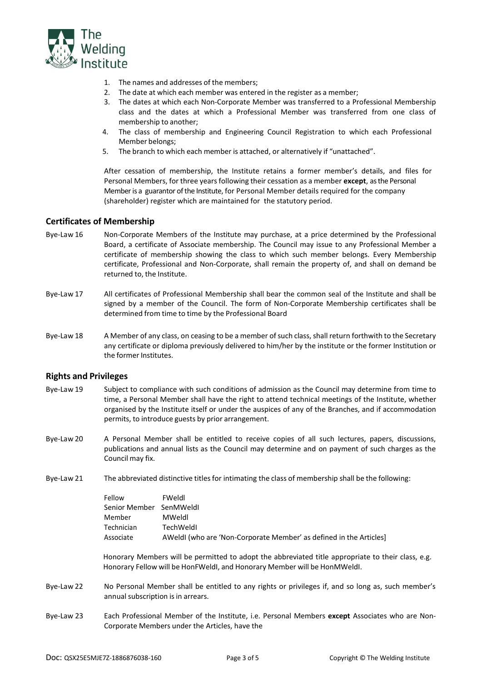

- 1. The names and addresses of the members;
- 2. The date at which each member was entered in the register as a member;
- 3. The dates at which each Non-Corporate Member was transferred to a Professional Membership class and the dates at which a Professional Member was transferred from one class of membership to another;
- 4. The class of membership and Engineering Council Registration to which each Professional Member belongs;
- 5. The branch to which each member is attached, or alternatively if "unattached".

After cessation of membership, the Institute retains a former member's details, and files for Personal Members, for three yearsfollowing their cessation as a member **except**, as the Personal Member is a guarantor of the Institute, for Personal Member details required for the company (shareholder) register which are maintained for the statutory period.

## **Certificates of Membership**

- Bye-Law 16 Non-Corporate Members of the Institute may purchase, at a price determined by the Professional Board, a certificate of Associate membership. The Council may issue to any Professional Member a certificate of membership showing the class to which such member belongs. Every Membership certificate, Professional and Non-Corporate, shall remain the property of, and shall on demand be returned to, the Institute.
- Bye-Law 17 All certificates of Professional Membership shall bear the common seal of the Institute and shall be signed by a member of the Council. The form of Non-Corporate Membership certificates shall be determined from time to time by the Professional Board
- Bye-Law 18 A Member of any class, on ceasing to be a member of such class, shall return forthwith to the Secretary any certificate or diploma previously delivered to him/her by the institute or the former Institution or the former Institutes.

#### **Rights and Privileges**

- Bye-Law 19 Subject to compliance with such conditions of admission as the Council may determine from time to time, a Personal Member shall have the right to attend technical meetings of the Institute, whether organised by the Institute itself or under the auspices of any of the Branches, and if accommodation permits, to introduce guests by prior arrangement.
- Bye-Law 20 A Personal Member shall be entitled to receive copies of all such lectures, papers, discussions, publications and annual lists as the Council may determine and on payment of such charges as the Council may fix.
- Bye-Law 21 The abbreviated distinctive titles for intimating the class of membership shall be the following:

| Fellow                  | FWeldl                                                             |
|-------------------------|--------------------------------------------------------------------|
| Senior Member SenMWeldl |                                                                    |
| Member                  | MWeldl                                                             |
| Technician              | TechWeldI                                                          |
| Associate               | AWeldI (who are 'Non-Corporate Member' as defined in the Articles] |
|                         |                                                                    |

Honorary Members will be permitted to adopt the abbreviated title appropriate to their class, e.g. Honorary Fellow will be HonFWeldI, and Honorary Member will be HonMWeldI.

- Bye-Law 22 No Personal Member shall be entitled to any rights or privileges if, and so long as, such member's annual subscription is in arrears.
- Bye-Law 23 Each Professional Member of the Institute, i.e. Personal Members **except** Associates who are Non-Corporate Members under the Articles, have the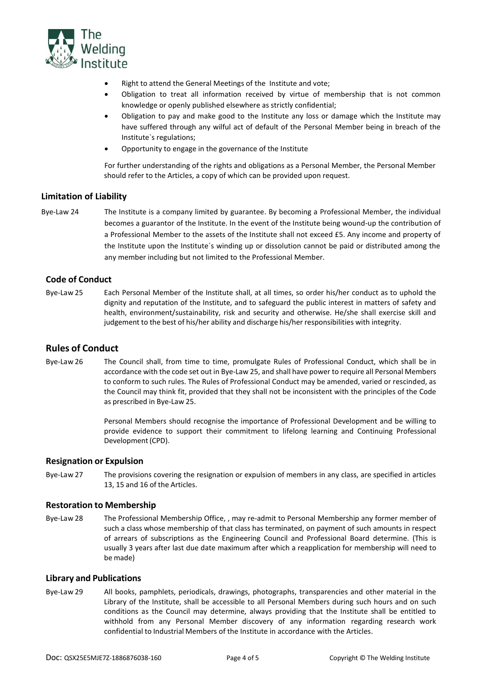

- Right to attend the General Meetings of the Institute and vote;
- Obligation to treat all information received by virtue of membership that is not common knowledge or openly published elsewhere as strictly confidential;
- Obligation to pay and make good to the Institute any loss or damage which the Institute may have suffered through any wilful act of default of the Personal Member being in breach of the Institute`s regulations;
- Opportunity to engage in the governance of the Institute

For further understanding of the rights and obligations as a Personal Member, the Personal Member should refer to the Articles, a copy of which can be provided upon request.

# **Limitation of Liability**

Bye-Law 24 The Institute is a company limited by guarantee. By becoming a Professional Member, the individual becomes a guarantor of the Institute. In the event of the Institute being wound-up the contribution of a Professional Member to the assets of the Institute shall not exceed £5. Any income and property of the Institute upon the Institute`s winding up or dissolution cannot be paid or distributed among the any member including but not limited to the Professional Member.

# **Code of Conduct**

Bye-Law 25 Each Personal Member of the Institute shall, at all times, so order his/her conduct as to uphold the dignity and reputation of the Institute, and to safeguard the public interest in matters of safety and health, environment/sustainability, risk and security and otherwise. He/she shall exercise skill and judgement to the best of his/her ability and discharge his/her responsibilities with integrity.

# **Rules of Conduct**

Bye-Law 26 The Council shall, from time to time, promulgate Rules of Professional Conduct, which shall be in accordance with the code set out in Bye-Law 25, and shall have power to require all Personal Members to conform to such rules. The Rules of Professional Conduct may be amended, varied or rescinded, as the Council may think fit, provided that they shall not be inconsistent with the principles of the Code as prescribed in Bye-Law 25.

> Personal Members should recognise the importance of Professional Development and be willing to provide evidence to support their commitment to lifelong learning and Continuing Professional Development(CPD).

# **Resignation or Expulsion**

Bye-Law 27 The provisions covering the resignation or expulsion of members in any class, are specified in articles 13, 15 and 16 of the Articles.

# **Restoration to Membership**

Bye-Law 28 The Professional Membership Office, , may re-admit to Personal Membership any former member of such a class whose membership of that class has terminated, on payment of such amounts in respect of arrears of subscriptions as the Engineering Council and Professional Board determine. (This is usually 3 years after last due date maximum after which a reapplication for membership will need to be made)

#### **Library and Publications**

Bye-Law 29 All books, pamphlets, periodicals, drawings, photographs, transparencies and other material in the Library of the Institute, shall be accessible to all Personal Members during such hours and on such conditions as the Council may determine, always providing that the Institute shall be entitled to withhold from any Personal Member discovery of any information regarding research work confidential to Industrial Members of the Institute in accordance with the Articles.